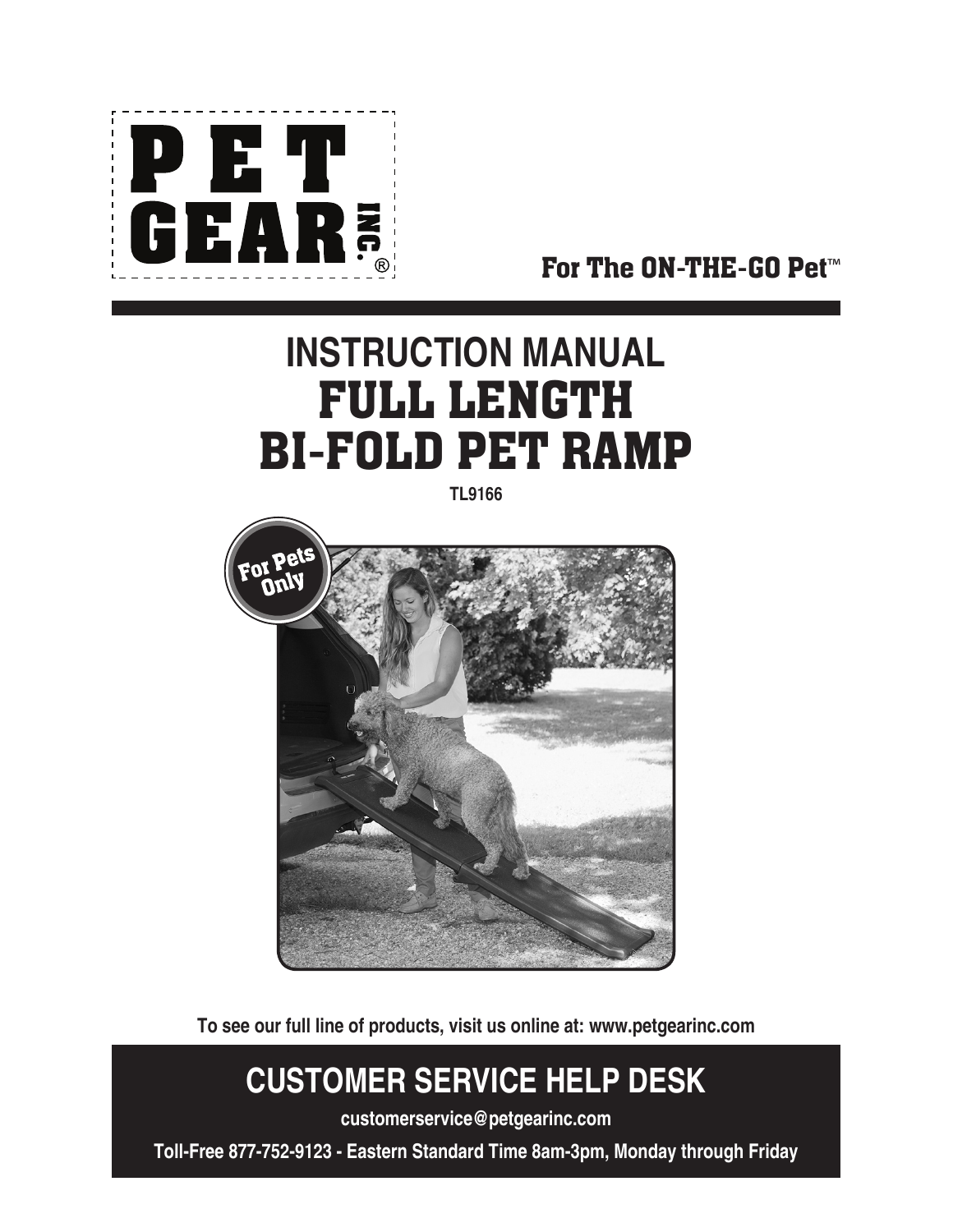

For The ON-THE-GO Pet™

# **INSTRUCTION MANUAL** FULL LENGTH BI-FOLD PET RAMP

**TL9166**



**To see our full line of products, visit us online at: www.petgearinc.com**

## **CUSTOMER SERVICE HELP DESK**

**customerservice@petgearinc.com**

**Toll-Free 877-752-9123 - Eastern Standard Time 8am-3pm, Monday through Friday**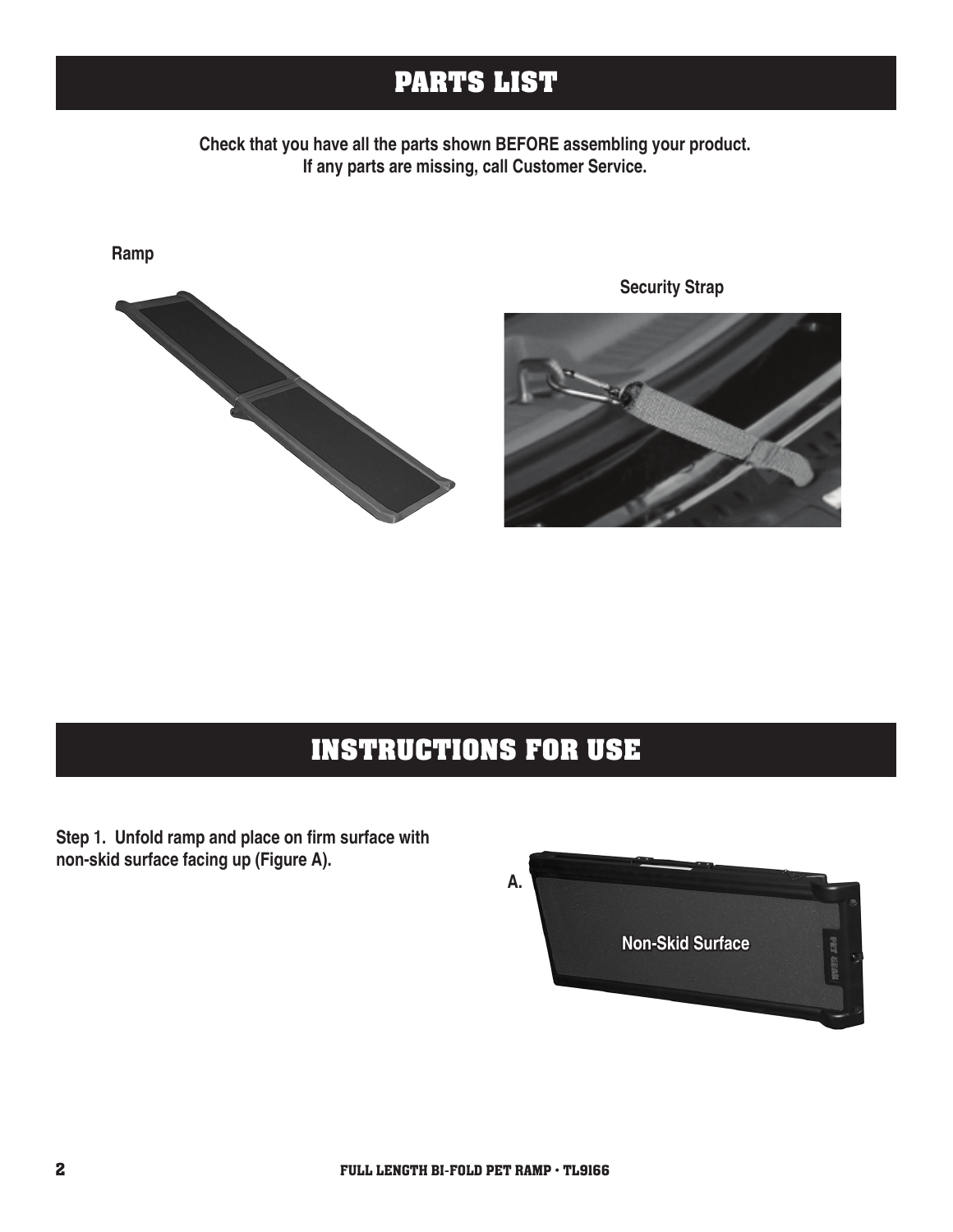#### **PARTS LIST**

**Check that you have all the parts shown BEFORE assembling your product. If any parts are missing, call Customer Service.**



**Security Strap**

### **INSTRUCTIONS FOR USE**

**Step 1. Unfold ramp and place on firm surface with non-skid surface facing up (Figure A).** 

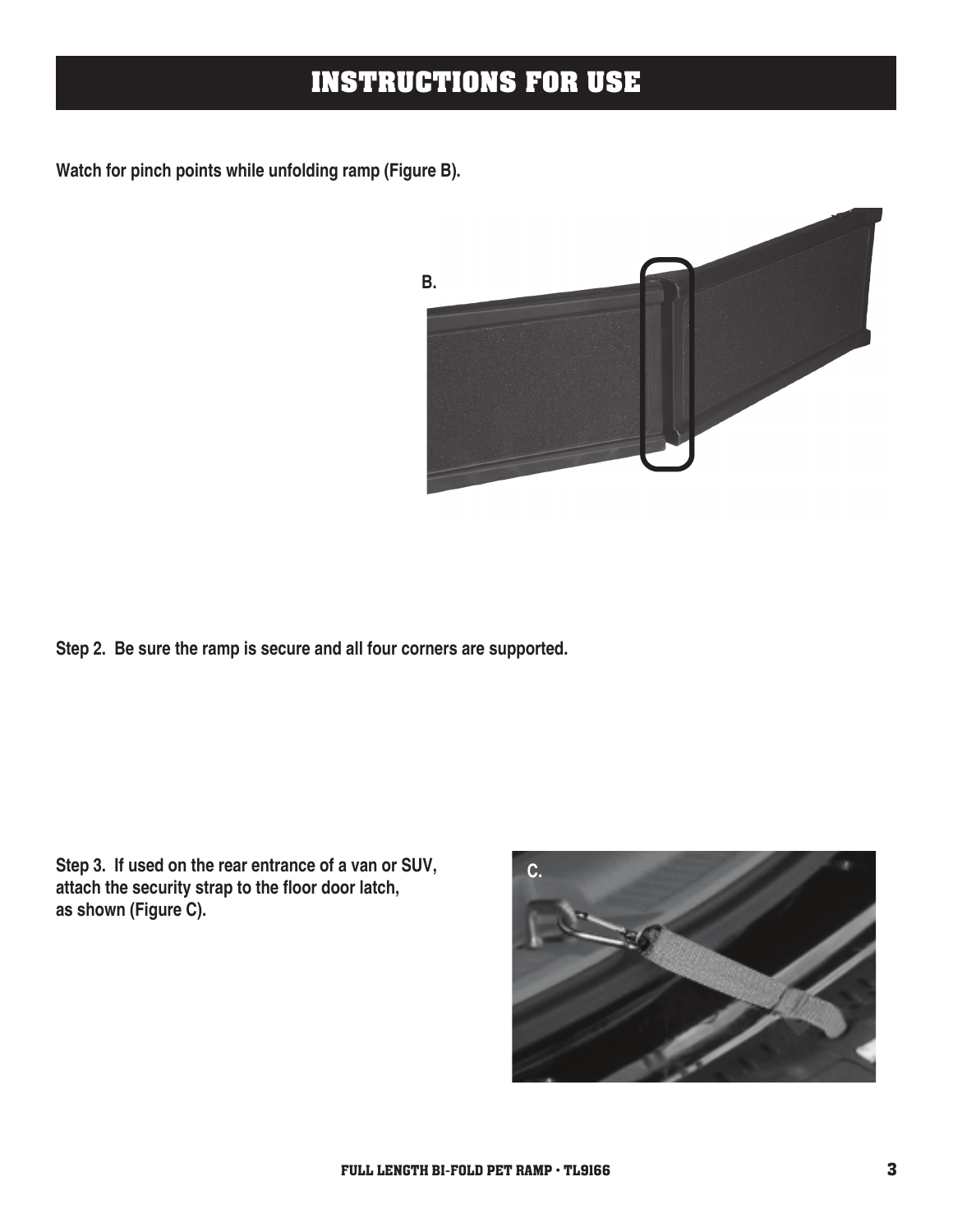### **INSTRUCTIONS FOR USE**

**Watch for pinch points while unfolding ramp (Figure B).**



**Step 2. Be sure the ramp is secure and all four corners are supported.**

**Step 3. If used on the rear entrance of a van or SUV, attach the security strap to the floor door latch, as shown (Figure C).**